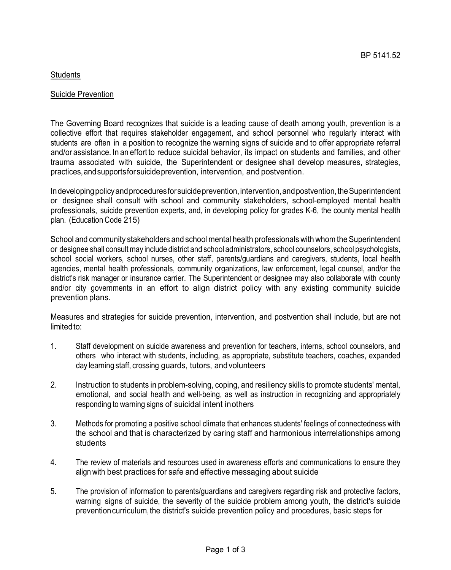# **Students**

#### Suicide Prevention

The Governing Board recognizes that suicide is a leading cause of death among youth, prevention is a collective effort that requires stakeholder engagement, and school personnel who regularly interact with students are often in a position to recognize the warning signs of suicide and to offer appropriate referral and/or assistance. In an effort to reduce suicidal behavior, its impact on students and families, and other trauma associated with suicide, the Superintendent or designee shall develop measures, strategies, practices,andsupportsforsuicideprevention, intervention, and postvention.

In developing policy and procedures for suicide prevention, intervention, and postvention, the Superintendent or designee shall consult with school and community stakeholders, school-employed mental health professionals, suicide prevention experts, and, in developing policy for grades K-6, the county mental health plan. (Education Code 215)

School and community stakeholders and school mental health professionals with whom the Superintendent or designee shall consult may include district and school administrators, school counselors, school psychologists, school social workers, school nurses, other staff, parents/guardians and caregivers, students, local health agencies, mental health professionals, community organizations, law enforcement, legal counsel, and/or the district's risk manager or insurance carrier. The Superintendent or designee may also collaborate with county and/or city governments in an effort to align district policy with any existing community suicide prevention plans.

Measures and strategies for suicide prevention, intervention, and postvention shall include, but are not limited to:

- 1. Staff development on suicide awareness and prevention for teachers, interns, school counselors, and others who interact with students, including, as appropriate, substitute teachers, coaches, expanded day learning staff, crossing guards, tutors, andvolunteers
- 2. Instruction to students in problem-solving, coping, and resiliency skills to promote students' mental, emotional, and social health and well-being, as well as instruction in recognizing and appropriately responding to warning signs of suicidal intent inothers
- 3. Methods for promoting a positive school climate that enhances students' feelings of connectedness with the school and that is characterized by caring staff and harmonious interrelationships among students
- 4. The review of materials and resources used in awareness efforts and communications to ensure they align with best practices for safe and effective messaging about suicide
- 5. The provision of information to parents/guardians and caregivers regarding risk and protective factors, warning signs of suicide, the severity of the suicide problem among youth, the district's suicide preventioncurriculum,the district's suicide prevention policy and procedures, basic steps for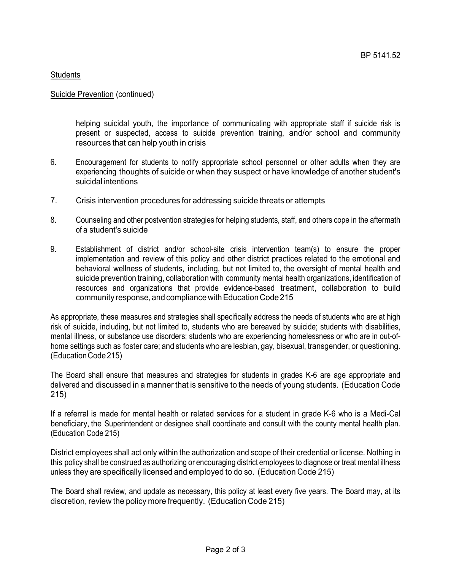# **Students**

#### Suicide Prevention (continued)

helping suicidal youth, the importance of communicating with appropriate staff if suicide risk is present or suspected, access to suicide prevention training, and/or school and community resources that can help youth in crisis

- 6. Encouragement for students to notify appropriate school personnel or other adults when they are experiencing thoughts of suicide or when they suspect or have knowledge of another student's suicidal intentions
- 7. Crisis intervention procedures for addressing suicide threats or attempts
- 8. Counseling and other postvention strategies for helping students, staff, and others cope in the aftermath of a student's suicide
- 9. Establishment of district and/or school-site crisis intervention team(s) to ensure the proper implementation and review of this policy and other district practices related to the emotional and behavioral wellness of students, including, but not limited to, the oversight of mental health and suicide prevention training, collaboration with community mental health organizations, identification of resources and organizations that provide evidence-based treatment, collaboration to build community response, and compliance with Education Code 215

As appropriate, these measures and strategies shall specifically address the needs of students who are at high risk of suicide, including, but not limited to, students who are bereaved by suicide; students with disabilities, mental illness, or substance use disorders; students who are experiencing homelessness or who are in out-ofhome settings such as foster care; and students who are lesbian, gay, bisexual, transgender, or questioning. (EducationCode 215)

The Board shall ensure that measures and strategies for students in grades K-6 are age appropriate and delivered and discussed in a manner that is sensitive to the needs of young students. (Education Code 215)

If a referral is made for mental health or related services for a student in grade K-6 who is a Medi-Cal beneficiary, the Superintendent or designee shall coordinate and consult with the county mental health plan. (Education Code 215)

District employees shall act only within the authorization and scope of their credential or license. Nothing in this policy shall be construed as authorizing or encouraging district employees to diagnose or treat mental illness unless they are specifically licensed and employed to do so. (Education Code 215)

The Board shall review, and update as necessary, this policy at least every five years. The Board may, at its discretion, review the policy more frequently. (Education Code 215)